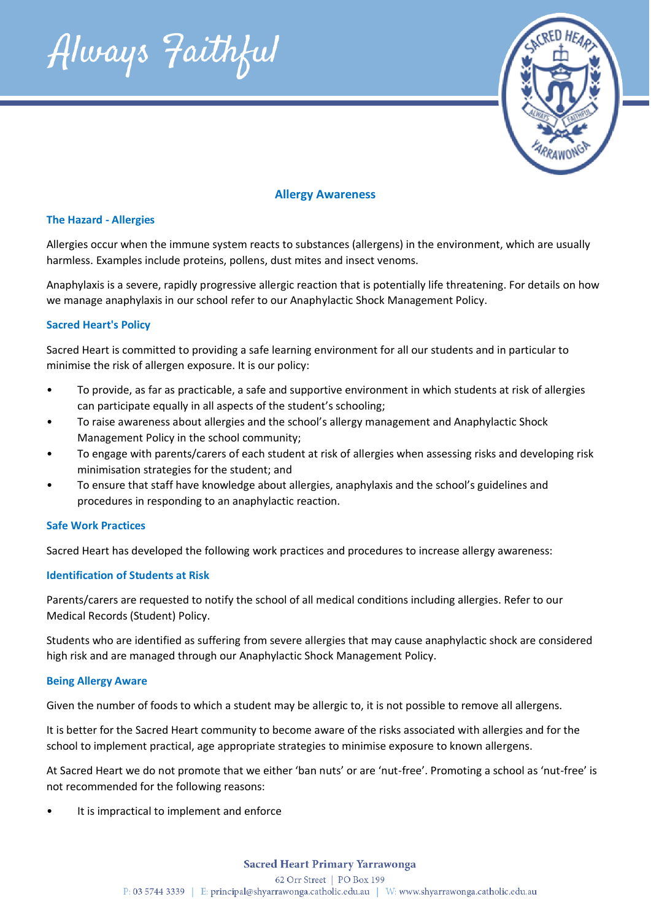



# **Allergy Awareness**

## **The Hazard - Allergies**

Allergies occur when the immune system reacts to substances (allergens) in the environment, which are usually harmless. Examples include proteins, pollens, dust mites and insect venoms.

Anaphylaxis is a severe, rapidly progressive allergic reaction that is potentially life threatening. For details on how we manage anaphylaxis in our school refer to our Anaphylactic Shock Management Policy.

## **Sacred Heart's Policy**

Sacred Heart is committed to providing a safe learning environment for all our students and in particular to minimise the risk of allergen exposure. It is our policy:

- To provide, as far as practicable, a safe and supportive environment in which students at risk of allergies can participate equally in all aspects of the student's schooling;
- To raise awareness about allergies and the school's allergy management and Anaphylactic Shock Management Policy in the school community;
- To engage with parents/carers of each student at risk of allergies when assessing risks and developing risk minimisation strategies for the student; and
- To ensure that staff have knowledge about allergies, anaphylaxis and the school's guidelines and procedures in responding to an anaphylactic reaction.

### **Safe Work Practices**

Sacred Heart has developed the following work practices and procedures to increase allergy awareness:

## **Identification of Students at Risk**

Parents/carers are requested to notify the school of all medical conditions including allergies. Refer to our Medical Records (Student) Policy.

Students who are identified as suffering from severe allergies that may cause anaphylactic shock are considered high risk and are managed through our Anaphylactic Shock Management Policy.

### **Being Allergy Aware**

Given the number of foods to which a student may be allergic to, it is not possible to remove all allergens.

It is better for the Sacred Heart community to become aware of the risks associated with allergies and for the school to implement practical, age appropriate strategies to minimise exposure to known allergens.

At Sacred Heart we do not promote that we either 'ban nuts' or are 'nut-free'. Promoting a school as 'nut-free' is not recommended for the following reasons:

It is impractical to implement and enforce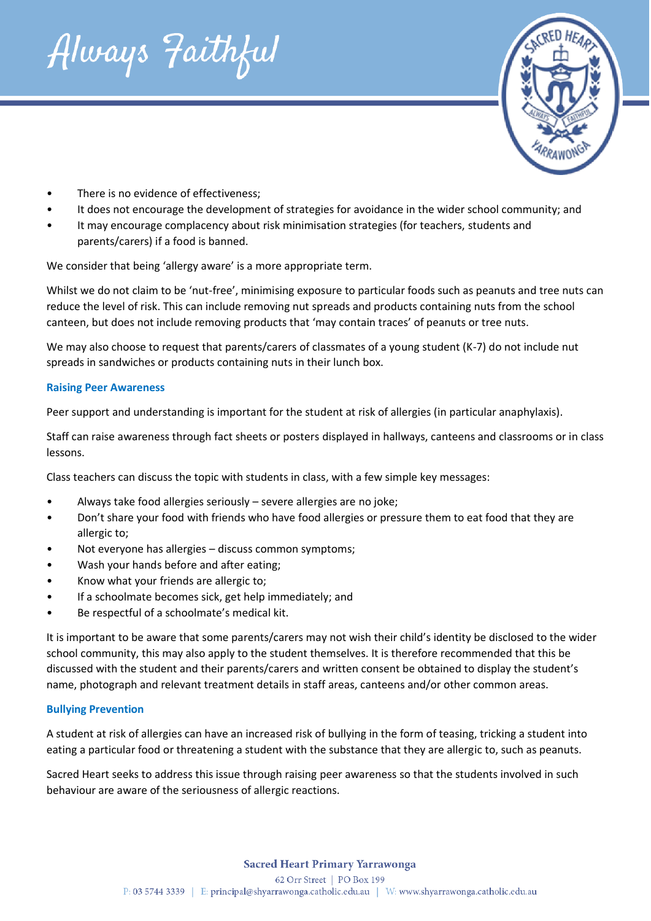Always Faithful



- There is no evidence of effectiveness;
- It does not encourage the development of strategies for avoidance in the wider school community; and
- It may encourage complacency about risk minimisation strategies (for teachers, students and parents/carers) if a food is banned.

We consider that being 'allergy aware' is a more appropriate term.

Whilst we do not claim to be 'nut-free', minimising exposure to particular foods such as peanuts and tree nuts can reduce the level of risk. This can include removing nut spreads and products containing nuts from the school canteen, but does not include removing products that 'may contain traces' of peanuts or tree nuts.

We may also choose to request that parents/carers of classmates of a young student (K-7) do not include nut spreads in sandwiches or products containing nuts in their lunch box.

## **Raising Peer Awareness**

Peer support and understanding is important for the student at risk of allergies (in particular anaphylaxis).

Staff can raise awareness through fact sheets or posters displayed in hallways, canteens and classrooms or in class lessons.

Class teachers can discuss the topic with students in class, with a few simple key messages:

- Always take food allergies seriously severe allergies are no joke;
- Don't share your food with friends who have food allergies or pressure them to eat food that they are allergic to;
- Not everyone has allergies discuss common symptoms;
- Wash your hands before and after eating;
- Know what your friends are allergic to;
- If a schoolmate becomes sick, get help immediately; and
- Be respectful of a schoolmate's medical kit.

It is important to be aware that some parents/carers may not wish their child's identity be disclosed to the wider school community, this may also apply to the student themselves. It is therefore recommended that this be discussed with the student and their parents/carers and written consent be obtained to display the student's name, photograph and relevant treatment details in staff areas, canteens and/or other common areas.

### **Bullying Prevention**

A student at risk of allergies can have an increased risk of bullying in the form of teasing, tricking a student into eating a particular food or threatening a student with the substance that they are allergic to, such as peanuts.

Sacred Heart seeks to address this issue through raising peer awareness so that the students involved in such behaviour are aware of the seriousness of allergic reactions.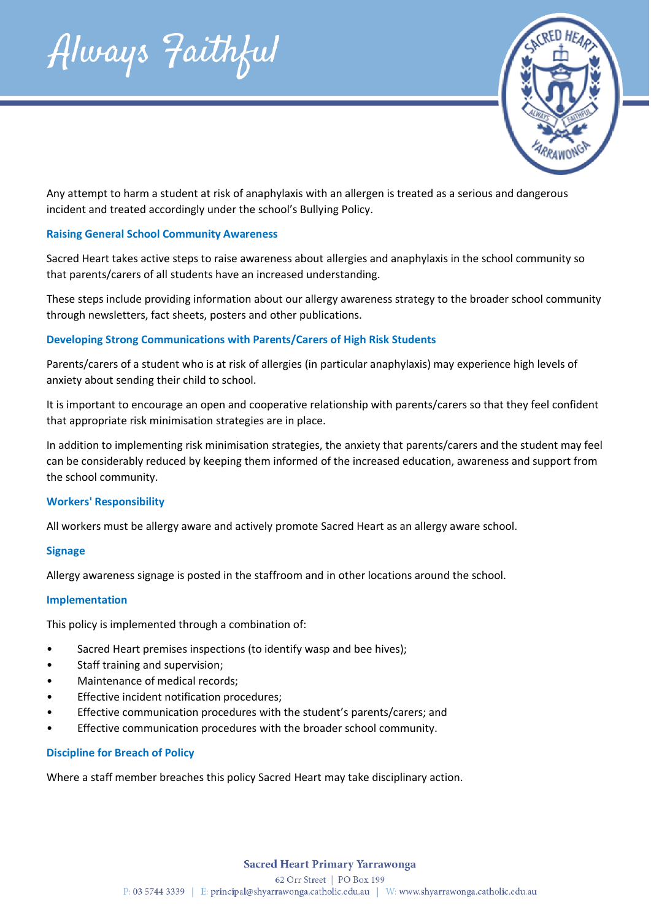



Any attempt to harm a student at risk of anaphylaxis with an allergen is treated as a serious and dangerous incident and treated accordingly under the school's Bullying Policy.

## **Raising General School Community Awareness**

Sacred Heart takes active steps to raise awareness about allergies and anaphylaxis in the school community so that parents/carers of all students have an increased understanding.

These steps include providing information about our allergy awareness strategy to the broader school community through newsletters, fact sheets, posters and other publications.

## **Developing Strong Communications with Parents/Carers of High Risk Students**

Parents/carers of a student who is at risk of allergies (in particular anaphylaxis) may experience high levels of anxiety about sending their child to school.

It is important to encourage an open and cooperative relationship with parents/carers so that they feel confident that appropriate risk minimisation strategies are in place.

In addition to implementing risk minimisation strategies, the anxiety that parents/carers and the student may feel can be considerably reduced by keeping them informed of the increased education, awareness and support from the school community.

### **Workers' Responsibility**

All workers must be allergy aware and actively promote Sacred Heart as an allergy aware school.

### **Signage**

Allergy awareness signage is posted in the staffroom and in other locations around the school.

### **Implementation**

This policy is implemented through a combination of:

- Sacred Heart premises inspections (to identify wasp and bee hives);
- Staff training and supervision;
- Maintenance of medical records;
- Effective incident notification procedures;
- Effective communication procedures with the student's parents/carers; and
- Effective communication procedures with the broader school community.

## **Discipline for Breach of Policy**

Where a staff member breaches this policy Sacred Heart may take disciplinary action.